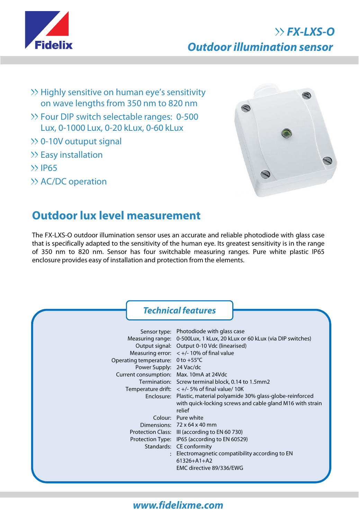

## **FX-LXS-O Outdoor illumination sensor**

- >> Highly sensitive on human eye's sensitivity on wave lengths from 350 nm to 820 nm
- Four DIP switch selectable ranges: 0-500 Lux, 0-1000 Lux, 0-20 kLux, 0-60 kLux
- 0-10V outuput signal
- $\gg$  Easy installation
- $\gg$  IP65
- >> AC/DC operation



## **Outdoor lux level measurement**

The FX-LXS-O outdoor illumination sensor uses an accurate and reliable photodiode with glass case that is specifically adapted to the sensitivity of the human eye. Its greatest sensitivity is in the range of 350 nm to 820 nm. Sensor has four switchable measuring ranges. Pure white plastic IP65 enclosure provides easy of installation and protection from the elements.

|                                                                                                                     | <b>Technical features</b>                                                                                                                                                                                                                                                                                                                                                                                                                                      |
|---------------------------------------------------------------------------------------------------------------------|----------------------------------------------------------------------------------------------------------------------------------------------------------------------------------------------------------------------------------------------------------------------------------------------------------------------------------------------------------------------------------------------------------------------------------------------------------------|
| Operating temperature: $0$ to +55 $\degree$ C<br>Power Supply: 24 Vac/dc<br>Current consumption: Max. 10mA at 24Vdc | Sensor type: Photodiode with glass case<br>Measuring range: 0-500Lux, 1 kLux, 20 kLux or 60 kLux (via DIP switches)<br>Output signal: Output 0-10 Vdc (linearised)<br>Measuring error: $< +/- 10\%$ of final value<br>Termination: Screw terminal block, 0.14 to 1.5mm2<br>Temperature drift: $< +/- 5%$ of final value/ 10K<br>Enclosure: Plastic, material polyamide 30% glass-globe-reinforced<br>with quick-locking screws and cable gland M16 with strain |
|                                                                                                                     | relief<br>Colour: Pure white<br>Dimensions: 72 x 64 x 40 mm<br>Protection Class: III (according to EN 60 730)<br>Protection Type: IP65 (according to EN 60529)<br>Standards: CE conformity<br>Electromagnetic compatibility according to EN<br>$61326 + A1 + A2$<br>EMC directive 89/336/EWG                                                                                                                                                                   |

## **www.fidelixme.com**